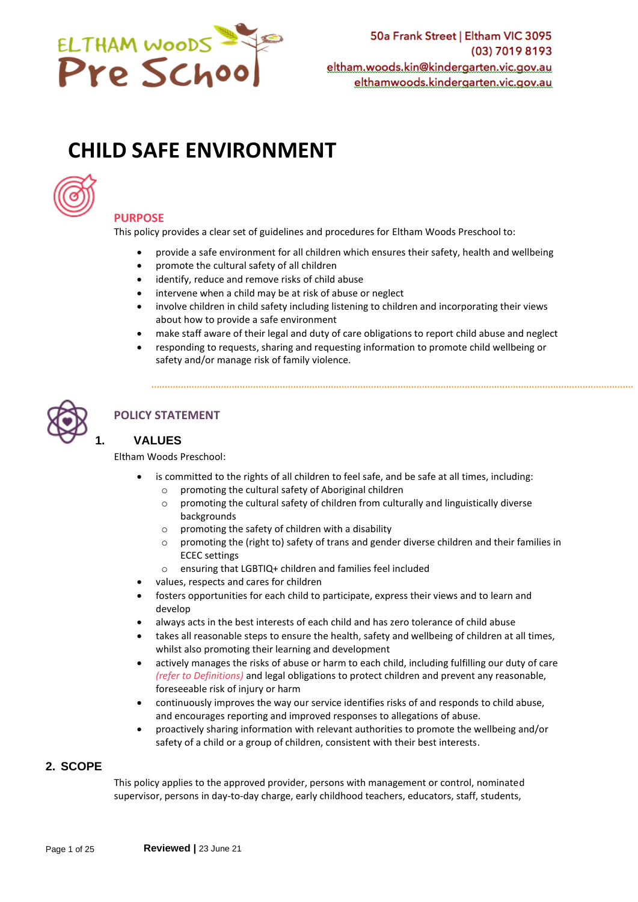

# **CHILD SAFE ENVIRONMENT**



## **PURPOSE**

This policy provides a clear set of guidelines and procedures for Eltham Woods Preschool to:

- provide a safe environment for all children which ensures their safety, health and wellbeing
- promote the cultural safety of all children
- identify, reduce and remove risks of child abuse
- intervene when a child may be at risk of abuse or neglect
- involve children in child safety including listening to children and incorporating their views about how to provide a safe environment
- make staff aware of their legal and duty of care obligations to report child abuse and neglect
- responding to requests, sharing and requesting information to promote child wellbeing or safety and/or manage risk of family violence.



# **POLICY STATEMENT**

## **1. VALUES**

Eltham Woods Preschool:

- is committed to the rights of all children to feel safe, and be safe at all times, including:
	- $\circ$  promoting the cultural safety of Aboriginal children
	- o promoting the cultural safety of children from culturally and linguistically diverse backgrounds
	- $\circ$  promoting the safety of children with a disability
	- o promoting the (right to) safety of trans and gender diverse children and their families in ECEC settings
	- o ensuring that LGBTIQ+ children and families feel included
- values, respects and cares for children
- fosters opportunities for each child to participate, express their views and to learn and develop
- always acts in the best interests of each child and has zero tolerance of child abuse
- takes all reasonable steps to ensure the health, safety and wellbeing of children at all times, whilst also promoting their learning and development
- actively manages the risks of abuse or harm to each child, including fulfilling our duty of care *(refer to Definitions)* and legal obligations to protect children and prevent any reasonable, foreseeable risk of injury or harm
- continuously improves the way our service identifies risks of and responds to child abuse, and encourages reporting and improved responses to allegations of abuse.
- proactively sharing information with relevant authorities to promote the wellbeing and/or safety of a child or a group of children, consistent with their best interests.

## **2. SCOPE**

This policy applies to the approved provider, persons with management or control, nominated supervisor, persons in day-to-day charge, early childhood teachers, educators, staff, students,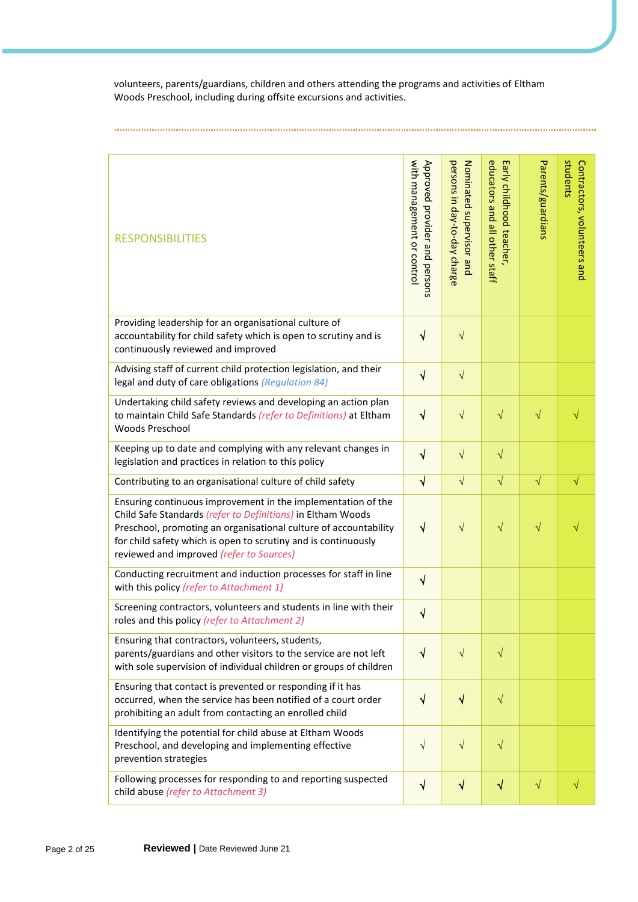volunteers, parents/guardians, children and others attending the programs and activities of Eltham Woods Preschool, including during offsite excursions and activities.

| <b>RESPONSIBILITIES</b>                                                                                                                                                                                                                                                                                       | with management or control<br>Approved provider and persons | persons in day-to-day charge<br>Nominated supervisor and | educators and all other staff<br>Early childhood teacher, | Parents/guardians | students<br>Contractors, volunteers and |
|---------------------------------------------------------------------------------------------------------------------------------------------------------------------------------------------------------------------------------------------------------------------------------------------------------------|-------------------------------------------------------------|----------------------------------------------------------|-----------------------------------------------------------|-------------------|-----------------------------------------|
| Providing leadership for an organisational culture of<br>accountability for child safety which is open to scrutiny and is<br>continuously reviewed and improved                                                                                                                                               | $\checkmark$                                                | $\sqrt{}$                                                |                                                           |                   |                                         |
| Advising staff of current child protection legislation, and their<br>legal and duty of care obligations (Regulation 84)                                                                                                                                                                                       | $\checkmark$                                                | $\sqrt{}$                                                |                                                           |                   |                                         |
| Undertaking child safety reviews and developing an action plan<br>to maintain Child Safe Standards (refer to Definitions) at Eltham<br>Woods Preschool                                                                                                                                                        | $\checkmark$                                                | $\sqrt{}$                                                | $\sqrt{}$                                                 | $\sqrt{}$         |                                         |
| Keeping up to date and complying with any relevant changes in<br>legislation and practices in relation to this policy                                                                                                                                                                                         | $\sqrt{}$                                                   | $\sqrt{}$                                                | $\sqrt{}$                                                 |                   |                                         |
| Contributing to an organisational culture of child safety                                                                                                                                                                                                                                                     | $\sqrt{}$                                                   | $\sqrt{}$                                                | $\sqrt{}$                                                 | $\sqrt{}$         | $\sqrt{}$                               |
| Ensuring continuous improvement in the implementation of the<br>Child Safe Standards (refer to Definitions) in Eltham Woods<br>Preschool, promoting an organisational culture of accountability<br>for child safety which is open to scrutiny and is continuously<br>reviewed and improved (refer to Sources) | √                                                           | $\sqrt{}$                                                | $\sqrt{}$                                                 | $\sqrt{}$         |                                         |
| Conducting recruitment and induction processes for staff in line<br>with this policy (refer to Attachment 1)                                                                                                                                                                                                  | $\sqrt{}$                                                   |                                                          |                                                           |                   |                                         |
| Screening contractors, volunteers and students in line with their<br>roles and this policy (refer to Attachment 2)                                                                                                                                                                                            | $\sqrt{}$                                                   |                                                          |                                                           |                   |                                         |
| Ensuring that contractors, volunteers, students,<br>parents/guardians and other visitors to the service are not left<br>with sole supervision of individual children or groups of children                                                                                                                    | $\sqrt{ }$                                                  | $\sqrt{ }$                                               | $\sqrt{}$                                                 |                   |                                         |
| Ensuring that contact is prevented or responding if it has<br>occurred, when the service has been notified of a court order<br>prohibiting an adult from contacting an enrolled child                                                                                                                         | √                                                           | $\color{red} \blacktriangleleft$                         | $\sqrt{}$                                                 |                   |                                         |
| Identifying the potential for child abuse at Eltham Woods<br>Preschool, and developing and implementing effective<br>prevention strategies                                                                                                                                                                    | $\sqrt{}$                                                   | $\sqrt{}$                                                | $\sqrt{}$                                                 |                   |                                         |
| Following processes for responding to and reporting suspected<br>child abuse (refer to Attachment 3)                                                                                                                                                                                                          | $\sqrt{}$                                                   | $\sqrt{}$                                                | $\sqrt{}$                                                 | $\sqrt{}$         | √                                       |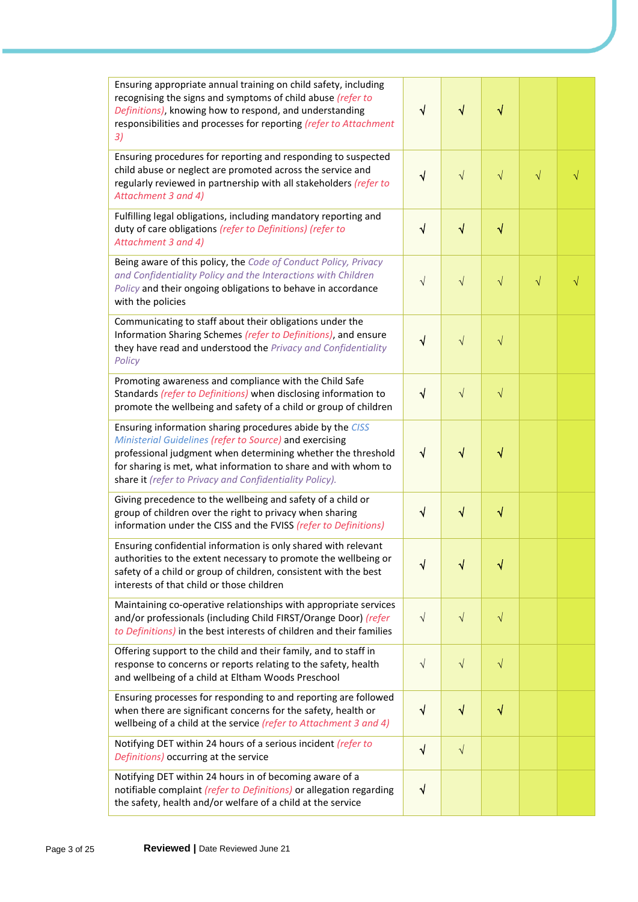| Ensuring appropriate annual training on child safety, including<br>recognising the signs and symptoms of child abuse (refer to<br>Definitions), knowing how to respond, and understanding<br>responsibilities and processes for reporting (refer to Attachment<br>3)                                              | $\sqrt{}$ | $\sqrt{}$    | $\sqrt{}$ |           |           |
|-------------------------------------------------------------------------------------------------------------------------------------------------------------------------------------------------------------------------------------------------------------------------------------------------------------------|-----------|--------------|-----------|-----------|-----------|
| Ensuring procedures for reporting and responding to suspected<br>child abuse or neglect are promoted across the service and<br>regularly reviewed in partnership with all stakeholders (refer to<br>Attachment 3 and 4)                                                                                           | $\sqrt{}$ | $\sqrt{}$    | $\sqrt{}$ | $\sqrt{}$ | $\sqrt{}$ |
| Fulfilling legal obligations, including mandatory reporting and<br>duty of care obligations (refer to Definitions) (refer to<br>Attachment 3 and 4)                                                                                                                                                               | $\sqrt{}$ | $\sqrt{}$    | $\sqrt{}$ |           |           |
| Being aware of this policy, the Code of Conduct Policy, Privacy<br>and Confidentiality Policy and the Interactions with Children<br>Policy and their ongoing obligations to behave in accordance<br>with the policies                                                                                             | $\sqrt{}$ | $\sqrt{}$    | $\sqrt{}$ | $\sqrt{}$ | $\sqrt{}$ |
| Communicating to staff about their obligations under the<br>Information Sharing Schemes (refer to Definitions), and ensure<br>they have read and understood the Privacy and Confidentiality<br>Policy                                                                                                             | √         | $\sqrt{}$    | $\sqrt{}$ |           |           |
| Promoting awareness and compliance with the Child Safe<br>Standards (refer to Definitions) when disclosing information to<br>promote the wellbeing and safety of a child or group of children                                                                                                                     | $\sqrt{}$ | $\sqrt{}$    | $\sqrt{}$ |           |           |
| Ensuring information sharing procedures abide by the CISS<br>Ministerial Guidelines (refer to Source) and exercising<br>professional judgment when determining whether the threshold<br>for sharing is met, what information to share and with whom to<br>share it (refer to Privacy and Confidentiality Policy). | $\sqrt{}$ | $\checkmark$ | $\sqrt{}$ |           |           |
| Giving precedence to the wellbeing and safety of a child or<br>group of children over the right to privacy when sharing<br>information under the CISS and the FVISS (refer to Definitions)                                                                                                                        | $\sqrt{}$ | $\sqrt{}$    | $\sqrt{}$ |           |           |
| Ensuring confidential information is only shared with relevant<br>authorities to the extent necessary to promote the wellbeing or<br>safety of a child or group of children, consistent with the best<br>interests of that child or those children                                                                | ٧         |              | √         |           |           |
| Maintaining co-operative relationships with appropriate services<br>and/or professionals (including Child FIRST/Orange Door) (refer<br>to Definitions) in the best interests of children and their families                                                                                                       | $\sqrt{}$ | $\sqrt{}$    | $\sqrt{}$ |           |           |
| Offering support to the child and their family, and to staff in<br>response to concerns or reports relating to the safety, health<br>and wellbeing of a child at Eltham Woods Preschool                                                                                                                           | $\sqrt{}$ | $\sqrt{}$    | $\sqrt{}$ |           |           |
| Ensuring processes for responding to and reporting are followed<br>when there are significant concerns for the safety, health or<br>wellbeing of a child at the service (refer to Attachment 3 and 4)                                                                                                             | $\sqrt{}$ | $\sqrt{}$    | √         |           |           |
| Notifying DET within 24 hours of a serious incident (refer to<br>Definitions) occurring at the service                                                                                                                                                                                                            | $\sqrt{}$ | $\sqrt{}$    |           |           |           |
| Notifying DET within 24 hours in of becoming aware of a<br>notifiable complaint (refer to Definitions) or allegation regarding<br>the safety, health and/or welfare of a child at the service                                                                                                                     | $\sqrt{}$ |              |           |           |           |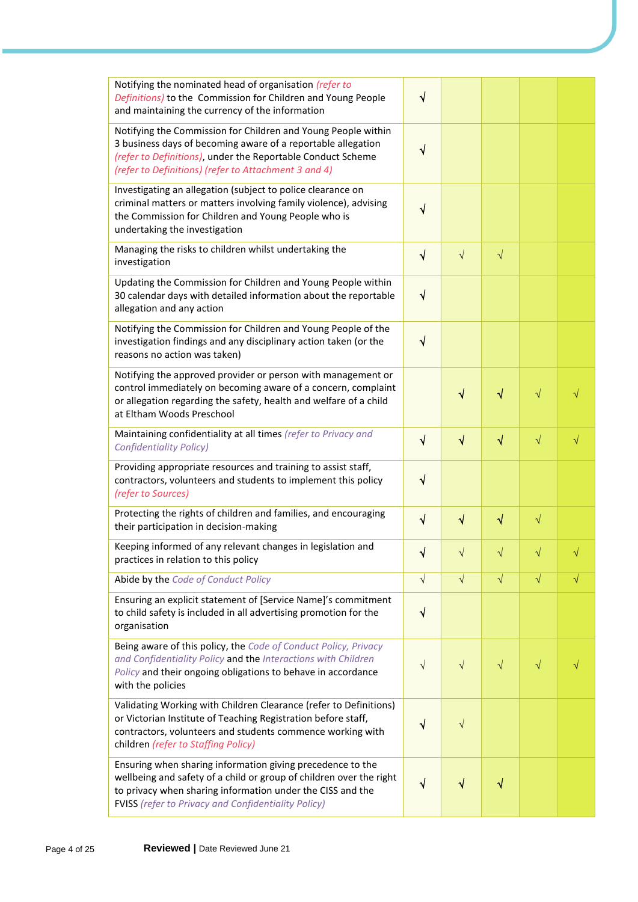| Notifying the nominated head of organisation (refer to<br>Definitions) to the Commission for Children and Young People<br>and maintaining the currency of the information                                                                                     | $\sqrt{}$ |            |           |           |           |
|---------------------------------------------------------------------------------------------------------------------------------------------------------------------------------------------------------------------------------------------------------------|-----------|------------|-----------|-----------|-----------|
| Notifying the Commission for Children and Young People within<br>3 business days of becoming aware of a reportable allegation<br>(refer to Definitions), under the Reportable Conduct Scheme<br>(refer to Definitions) (refer to Attachment 3 and 4)          | $\sqrt{}$ |            |           |           |           |
| Investigating an allegation (subject to police clearance on<br>criminal matters or matters involving family violence), advising<br>the Commission for Children and Young People who is<br>undertaking the investigation                                       | √         |            |           |           |           |
| Managing the risks to children whilst undertaking the<br>investigation                                                                                                                                                                                        | $\sqrt{}$ | $\sqrt{}$  | $\sqrt{}$ |           |           |
| Updating the Commission for Children and Young People within<br>30 calendar days with detailed information about the reportable<br>allegation and any action                                                                                                  | $\sqrt{}$ |            |           |           |           |
| Notifying the Commission for Children and Young People of the<br>investigation findings and any disciplinary action taken (or the<br>reasons no action was taken)                                                                                             | $\sqrt{}$ |            |           |           |           |
| Notifying the approved provider or person with management or<br>control immediately on becoming aware of a concern, complaint<br>or allegation regarding the safety, health and welfare of a child<br>at Eltham Woods Preschool                               |           | $\sqrt{}$  | √         | $\sqrt{}$ |           |
| Maintaining confidentiality at all times (refer to Privacy and<br><b>Confidentiality Policy)</b>                                                                                                                                                              | ٦         | $\sqrt{}$  | $\sqrt{}$ | $\sqrt{}$ | $\sqrt{}$ |
| Providing appropriate resources and training to assist staff,<br>contractors, volunteers and students to implement this policy<br>(refer to Sources)                                                                                                          | $\sqrt{}$ |            |           |           |           |
| Protecting the rights of children and families, and encouraging<br>their participation in decision-making                                                                                                                                                     | ٦         | $\sqrt{}$  | V         | $\sqrt{}$ |           |
| Keeping informed of any relevant changes in legislation and<br>practices in relation to this policy                                                                                                                                                           | √         | $\sqrt{ }$ | $\sqrt{}$ | $\sqrt{}$ |           |
| Abide by the Code of Conduct Policy                                                                                                                                                                                                                           | $\sqrt{}$ | $\sqrt{ }$ | $\sqrt{}$ | $\sqrt{}$ | $\sqrt{}$ |
| Ensuring an explicit statement of [Service Name]'s commitment<br>to child safety is included in all advertising promotion for the<br>organisation                                                                                                             | $\sqrt{}$ |            |           |           |           |
| Being aware of this policy, the Code of Conduct Policy, Privacy<br>and Confidentiality Policy and the Interactions with Children<br>Policy and their ongoing obligations to behave in accordance<br>with the policies                                         | $\sqrt{}$ | $\sqrt{ }$ | $\sqrt{}$ | $\sqrt{}$ |           |
| Validating Working with Children Clearance (refer to Definitions)<br>or Victorian Institute of Teaching Registration before staff,<br>contractors, volunteers and students commence working with<br>children (refer to Staffing Policy)                       | √         | $\sqrt{}$  |           |           |           |
| Ensuring when sharing information giving precedence to the<br>wellbeing and safety of a child or group of children over the right<br>to privacy when sharing information under the CISS and the<br><b>FVISS</b> (refer to Privacy and Confidentiality Policy) | √         | √          | V         |           |           |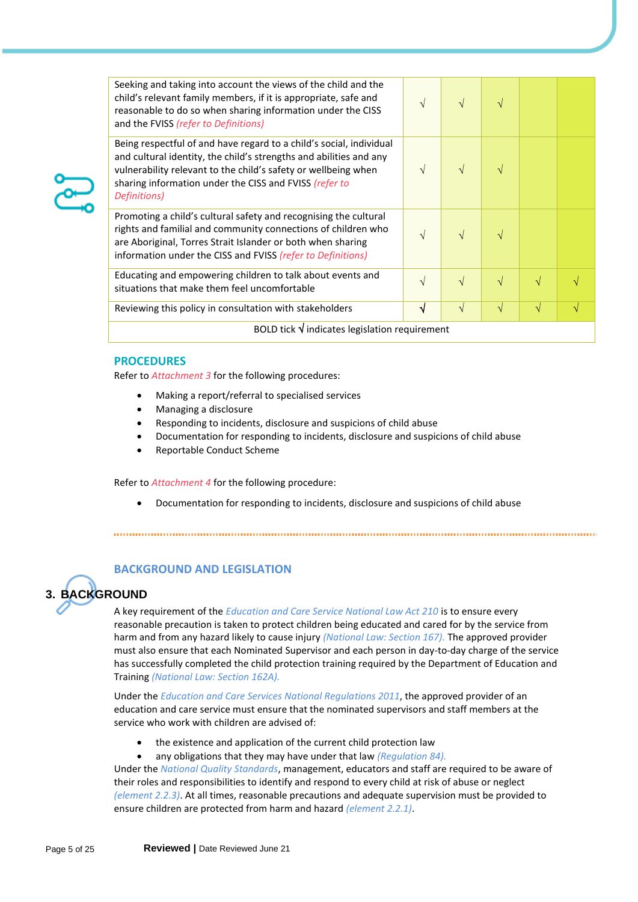| Seeking and taking into account the views of the child and the<br>child's relevant family members, if it is appropriate, safe and<br>reasonable to do so when sharing information under the CISS<br>and the FVISS (refer to Definitions)                                              | $\mathcal{N}$ | $\sqrt{ }$    | V          |           |  |
|---------------------------------------------------------------------------------------------------------------------------------------------------------------------------------------------------------------------------------------------------------------------------------------|---------------|---------------|------------|-----------|--|
| Being respectful of and have regard to a child's social, individual<br>and cultural identity, the child's strengths and abilities and any<br>vulnerability relevant to the child's safety or wellbeing when<br>sharing information under the CISS and FVISS (refer to<br>Definitions) | $\mathcal{N}$ | $\sqrt{ }$    | V          |           |  |
| Promoting a child's cultural safety and recognising the cultural<br>rights and familial and community connections of children who<br>are Aboriginal, Torres Strait Islander or both when sharing<br>information under the CISS and FVISS (refer to Definitions)                       | $\sqrt{ }$    | $\mathcal{N}$ | V          |           |  |
| Educating and empowering children to talk about events and<br>situations that make them feel uncomfortable                                                                                                                                                                            | $\mathcal{N}$ | $\sqrt{ }$    | $\sqrt{ }$ | V         |  |
| Reviewing this policy in consultation with stakeholders                                                                                                                                                                                                                               | √             | $\sqrt{ }$    | $\sqrt{}$  | $\sqrt{}$ |  |
| BOLD tick $\sqrt{}$ indicates legislation requirement                                                                                                                                                                                                                                 |               |               |            |           |  |

#### **PROCEDURES**

Refer to *Attachment 3* for the following procedures:

- Making a report/referral to specialised services
- Managing a disclosure
- Responding to incidents, disclosure and suspicions of child abuse
- Documentation for responding to incidents, disclosure and suspicions of child abuse
- Reportable Conduct Scheme

Refer to *Attachment 4* for the following procedure:

• Documentation for responding to incidents, disclosure and suspicions of child abuse

## **BACKGROUND AND LEGISLATION**

# **3. BACKGROUND**

A key requirement of the *Education and Care Service National Law Act 210* is to ensure every reasonable precaution is taken to protect children being educated and cared for by the service from harm and from any hazard likely to cause injury *(National Law: Section 167).* The approved provider must also ensure that each Nominated Supervisor and each person in day-to-day charge of the service has successfully completed the child protection training required by the Department of Education and Training *(National Law: Section 162A).*

Under the *Education and Care Services National Regulations 2011*, the approved provider of an education and care service must ensure that the nominated supervisors and staff members at the service who work with children are advised of:

- the existence and application of the current child protection law
- any obligations that they may have under that law *(Regulation 84).*

Under the *National Quality Standards*, management, educators and staff are required to be aware of their roles and responsibilities to identify and respond to every child at risk of abuse or neglect *(element 2.2.3)*. At all times, reasonable precautions and adequate supervision must be provided to ensure children are protected from harm and hazard *(element 2.2.1)*.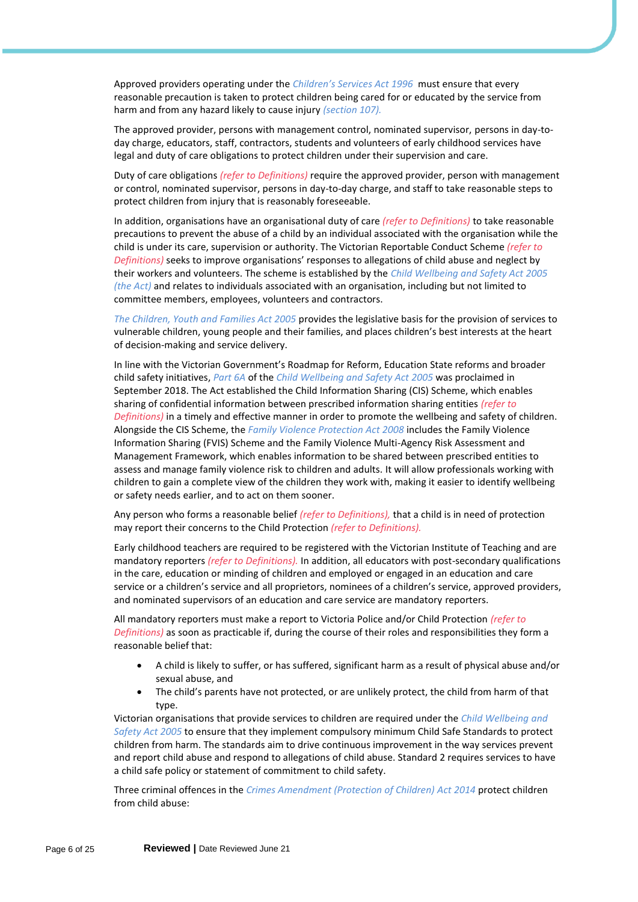Approved providers operating under the *Children's Services Act 1996* must ensure that every reasonable precaution is taken to protect children being cared for or educated by the service from harm and from any hazard likely to cause injury *(section 107).*

The approved provider, persons with management control, nominated supervisor, persons in day-today charge, educators, staff, contractors, students and volunteers of early childhood services have legal and duty of care obligations to protect children under their supervision and care.

Duty of care obligations *(refer to Definitions)* require the approved provider, person with management or control, nominated supervisor, persons in day-to-day charge, and staff to take reasonable steps to protect children from injury that is reasonably foreseeable.

In addition, organisations have an organisational duty of care *(refer to Definitions)* to take reasonable precautions to prevent the abuse of a child by an individual associated with the organisation while the child is under its care, supervision or authority. The Victorian Reportable Conduct Scheme *(refer to Definitions)* seeks to improve organisations' responses to allegations of child abuse and neglect by their workers and volunteers. The scheme is established by the *Child Wellbeing and Safety Act 2005 (the Act)* and relates to individuals associated with an organisation, including but not limited to committee members, employees, volunteers and contractors.

*The Children, Youth and Families Act 2005* provides the legislative basis for the provision of services to vulnerable children, young people and their families, and places children's best interests at the heart of decision-making and service delivery.

In line with the Victorian Government's Roadmap for Reform, Education State reforms and broader child safety initiatives, *Part 6A* of the *Child Wellbeing and Safety Act 2005* was proclaimed in September 2018. The Act established the Child Information Sharing (CIS) Scheme, which enables sharing of confidential information between prescribed information sharing entities *(refer to Definitions)* in a timely and effective manner in order to promote the wellbeing and safety of children. Alongside the CIS Scheme, the *Family Violence Protection Act 2008* includes the Family Violence Information Sharing (FVIS) Scheme and the Family Violence Multi-Agency Risk Assessment and Management Framework, which enables information to be shared between prescribed entities to assess and manage family violence risk to children and adults. It will allow professionals working with children to gain a complete view of the children they work with, making it easier to identify wellbeing or safety needs earlier, and to act on them sooner.

Any person who forms a reasonable belief *(refer to Definitions),* that a child is in need of protection may report their concerns to the Child Protection *(refer to Definitions).*

Early childhood teachers are required to be registered with the Victorian Institute of Teaching and are mandatory reporters *(refer to Definitions).* In addition, all educators with post-secondary qualifications in the care, education or minding of children and employed or engaged in an education and care service or a children's service and all proprietors, nominees of a children's service, approved providers, and nominated supervisors of an education and care service are mandatory reporters.

All mandatory reporters must make a report to Victoria Police and/or Child Protection *(refer to Definitions)* as soon as practicable if, during the course of their roles and responsibilities they form a reasonable belief that:

- A child is likely to suffer, or has suffered, significant harm as a result of physical abuse and/or sexual abuse, and
- The child's parents have not protected, or are unlikely protect, the child from harm of that type.

Victorian organisations that provide services to children are required under the *Child Wellbeing and Safety Act 2005* to ensure that they implement compulsory minimum Child Safe Standards to protect children from harm. The standards aim to drive continuous improvement in the way services prevent and report child abuse and respond to allegations of child abuse. Standard 2 requires services to have a child safe policy or statement of commitment to child safety.

Three criminal offences in the *Crimes Amendment (Protection of Children) Act 2014* protect children from child abuse: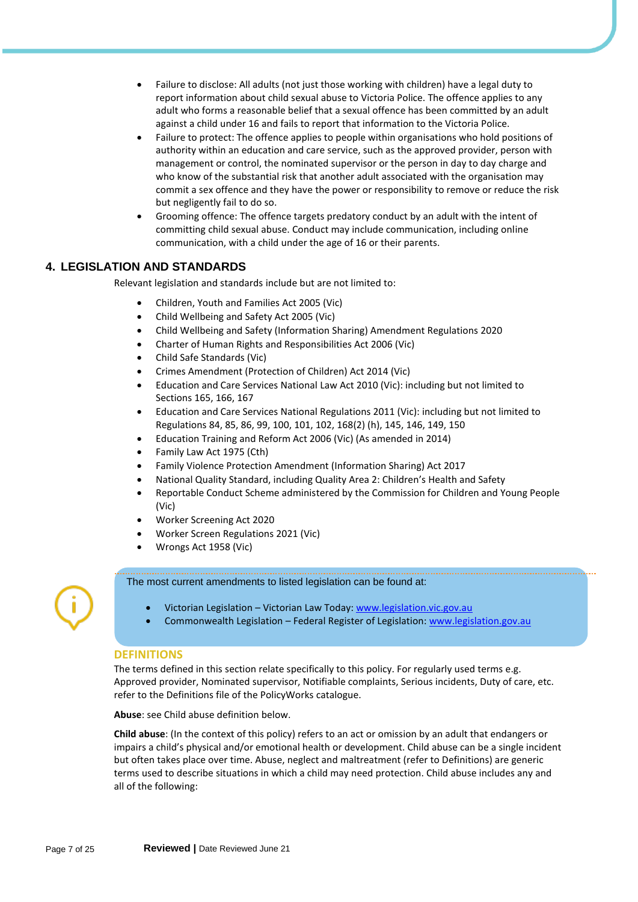- Failure to disclose: All adults (not just those working with children) have a legal duty to report information about child sexual abuse to Victoria Police. The offence applies to any adult who forms a reasonable belief that a sexual offence has been committed by an adult against a child under 16 and fails to report that information to the Victoria Police.
- Failure to protect: The offence applies to people within organisations who hold positions of authority within an education and care service, such as the approved provider, person with management or control, the nominated supervisor or the person in day to day charge and who know of the substantial risk that another adult associated with the organisation may commit a sex offence and they have the power or responsibility to remove or reduce the risk but negligently fail to do so.
- Grooming offence: The offence targets predatory conduct by an adult with the intent of committing child sexual abuse. Conduct may include communication, including online communication, with a child under the age of 16 or their parents.

## **4. LEGISLATION AND STANDARDS**

Relevant legislation and standards include but are not limited to:

- Children, Youth and Families Act 2005 (Vic)
- Child Wellbeing and Safety Act 2005 (Vic)
- Child Wellbeing and Safety (Information Sharing) Amendment Regulations 2020
- Charter of Human Rights and Responsibilities Act 2006 (Vic)
- Child Safe Standards (Vic)
- Crimes Amendment (Protection of Children) Act 2014 (Vic)
- Education and Care Services National Law Act 2010 (Vic): including but not limited to Sections 165, 166, 167
- Education and Care Services National Regulations 2011 (Vic): including but not limited to Regulations 84, 85, 86, 99, 100, 101, 102, 168(2) (h), 145, 146, 149, 150
- Education Training and Reform Act 2006 (Vic) (As amended in 2014)
- Family Law Act 1975 (Cth)
- Family Violence Protection Amendment (Information Sharing) Act 2017
- National Quality Standard, including Quality Area 2: Children's Health and Safety
- Reportable Conduct Scheme administered by the Commission for Children and Young People (Vic)
- Worker Screening Act 2020
- Worker Screen Regulations 2021 (Vic)
- Wrongs Act 1958 (Vic)

#### The most current amendments to listed legislation can be found at:

- Victorian Legislation Victorian Law Today[: www.legislation.vic.gov.au](https://www.legislation.vic.gov.au/)
- Commonwealth Legislation Federal Register of Legislation[: www.legislation.gov.au](https://www.legislation.gov.au/)

#### **DEFINITIONS**

The terms defined in this section relate specifically to this policy. For regularly used terms e.g. Approved provider, Nominated supervisor, Notifiable complaints, Serious incidents, Duty of care, etc. refer to the Definitions file of the PolicyWorks catalogue.

**Abuse**: see Child abuse definition below.

**Child abuse**: (In the context of this policy) refers to an act or omission by an adult that endangers or impairs a child's physical and/or emotional health or development. Child abuse can be a single incident but often takes place over time. Abuse, neglect and maltreatment (refer to Definitions) are generic terms used to describe situations in which a child may need protection. Child abuse includes any and all of the following: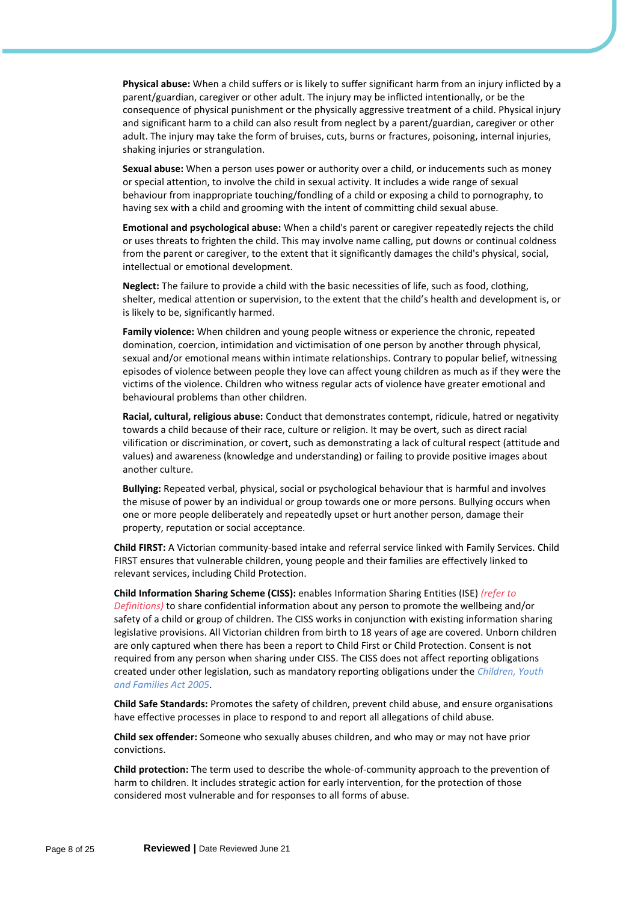**Physical abuse:** When a child suffers or is likely to suffer significant harm from an injury inflicted by a parent/guardian, caregiver or other adult. The injury may be inflicted intentionally, or be the consequence of physical punishment or the physically aggressive treatment of a child. Physical injury and significant harm to a child can also result from neglect by a parent/guardian, caregiver or other adult. The injury may take the form of bruises, cuts, burns or fractures, poisoning, internal injuries, shaking injuries or strangulation.

**Sexual abuse:** When a person uses power or authority over a child, or inducements such as money or special attention, to involve the child in sexual activity. It includes a wide range of sexual behaviour from inappropriate touching/fondling of a child or exposing a child to pornography, to having sex with a child and grooming with the intent of committing child sexual abuse.

**Emotional and psychological abuse:** When a child's parent or caregiver repeatedly rejects the child or uses threats to frighten the child. This may involve name calling, put downs or continual coldness from the parent or caregiver, to the extent that it significantly damages the child's physical, social, intellectual or emotional development.

**Neglect:** The failure to provide a child with the basic necessities of life, such as food, clothing, shelter, medical attention or supervision, to the extent that the child's health and development is, or is likely to be, significantly harmed.

**Family violence:** When children and young people witness or experience the chronic, repeated domination, coercion, intimidation and victimisation of one person by another through physical, sexual and/or emotional means within intimate relationships. Contrary to popular belief, witnessing episodes of violence between people they love can affect young children as much as if they were the victims of the violence. Children who witness regular acts of violence have greater emotional and behavioural problems than other children.

**Racial, cultural, religious abuse:** Conduct that demonstrates contempt, ridicule, hatred or negativity towards a child because of their race, culture or religion. It may be overt, such as direct racial vilification or discrimination, or covert, such as demonstrating a lack of cultural respect (attitude and values) and awareness (knowledge and understanding) or failing to provide positive images about another culture.

**Bullying:** Repeated verbal, physical, social or psychological behaviour that is harmful and involves the misuse of power by an individual or group towards one or more persons. Bullying occurs when one or more people deliberately and repeatedly upset or hurt another person, damage their property, reputation or social acceptance.

**Child FIRST:** A Victorian community-based intake and referral service linked with Family Services. Child FIRST ensures that vulnerable children, young people and their families are effectively linked to relevant services, including Child Protection.

**Child Information Sharing Scheme (CISS):** enables Information Sharing Entities (ISE) *(refer to Definitions)* to share confidential information about any person to promote the wellbeing and/or safety of a child or group of children. The CISS works in conjunction with existing information sharing legislative provisions. All Victorian children from birth to 18 years of age are covered. Unborn children are only captured when there has been a report to Child First or Child Protection. Consent is not required from any person when sharing under CISS. The CISS does not affect reporting obligations created under other legislation, such as mandatory reporting obligations under the *Children, Youth and Families Act 2005*.

**Child Safe Standards:** Promotes the safety of children, prevent child abuse, and ensure organisations have effective processes in place to respond to and report all allegations of child abuse.

**Child sex offender:** Someone who sexually abuses children, and who may or may not have prior convictions.

**Child protection:** The term used to describe the whole-of-community approach to the prevention of harm to children. It includes strategic action for early intervention, for the protection of those considered most vulnerable and for responses to all forms of abuse.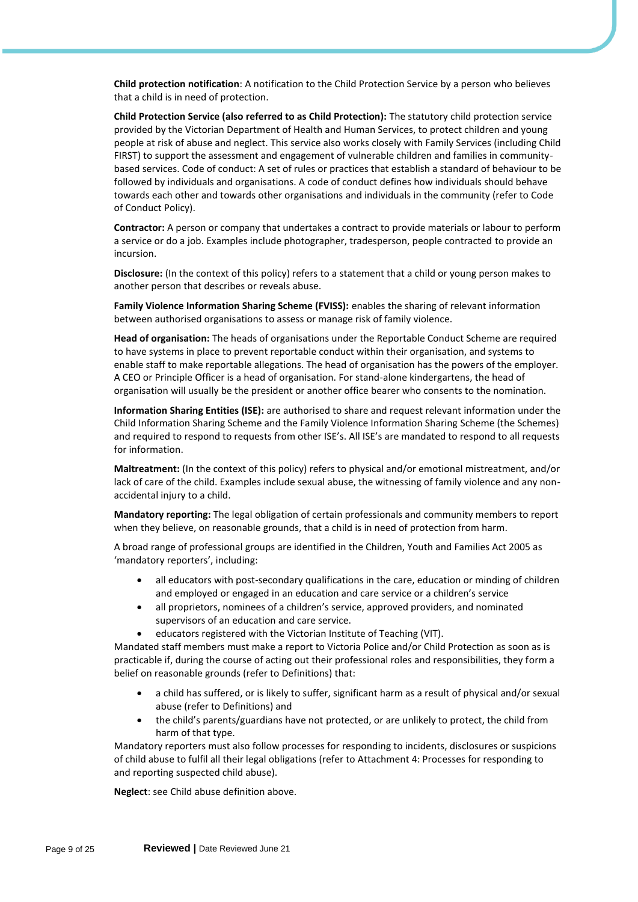**Child protection notification**: A notification to the Child Protection Service by a person who believes that a child is in need of protection.

**Child Protection Service (also referred to as Child Protection):** The statutory child protection service provided by the Victorian Department of Health and Human Services, to protect children and young people at risk of abuse and neglect. This service also works closely with Family Services (including Child FIRST) to support the assessment and engagement of vulnerable children and families in communitybased services. Code of conduct: A set of rules or practices that establish a standard of behaviour to be followed by individuals and organisations. A code of conduct defines how individuals should behave towards each other and towards other organisations and individuals in the community (refer to Code of Conduct Policy).

**Contractor:** A person or company that undertakes a contract to provide materials or labour to perform a service or do a job. Examples include photographer, tradesperson, people contracted to provide an incursion.

**Disclosure:** (In the context of this policy) refers to a statement that a child or young person makes to another person that describes or reveals abuse.

**Family Violence Information Sharing Scheme (FVISS):** enables the sharing of relevant information between authorised organisations to assess or manage risk of family violence.

**Head of organisation:** The heads of organisations under the Reportable Conduct Scheme are required to have systems in place to prevent reportable conduct within their organisation, and systems to enable staff to make reportable allegations. The head of organisation has the powers of the employer. A CEO or Principle Officer is a head of organisation. For stand-alone kindergartens, the head of organisation will usually be the president or another office bearer who consents to the nomination.

**Information Sharing Entities (ISE):** are authorised to share and request relevant information under the Child Information Sharing Scheme and the Family Violence Information Sharing Scheme (the Schemes) and required to respond to requests from other ISE's. All ISE's are mandated to respond to all requests for information.

**Maltreatment:** (In the context of this policy) refers to physical and/or emotional mistreatment, and/or lack of care of the child. Examples include sexual abuse, the witnessing of family violence and any nonaccidental injury to a child.

**Mandatory reporting:** The legal obligation of certain professionals and community members to report when they believe, on reasonable grounds, that a child is in need of protection from harm.

A broad range of professional groups are identified in the Children, Youth and Families Act 2005 as 'mandatory reporters', including:

- all educators with post-secondary qualifications in the care, education or minding of children and employed or engaged in an education and care service or a children's service
- all proprietors, nominees of a children's service, approved providers, and nominated supervisors of an education and care service.
- educators registered with the Victorian Institute of Teaching (VIT).

Mandated staff members must make a report to Victoria Police and/or Child Protection as soon as is practicable if, during the course of acting out their professional roles and responsibilities, they form a belief on reasonable grounds (refer to Definitions) that:

- a child has suffered, or is likely to suffer, significant harm as a result of physical and/or sexual abuse (refer to Definitions) and
- the child's parents/guardians have not protected, or are unlikely to protect, the child from harm of that type.

Mandatory reporters must also follow processes for responding to incidents, disclosures or suspicions of child abuse to fulfil all their legal obligations (refer to Attachment 4: Processes for responding to and reporting suspected child abuse).

**Neglect**: see Child abuse definition above.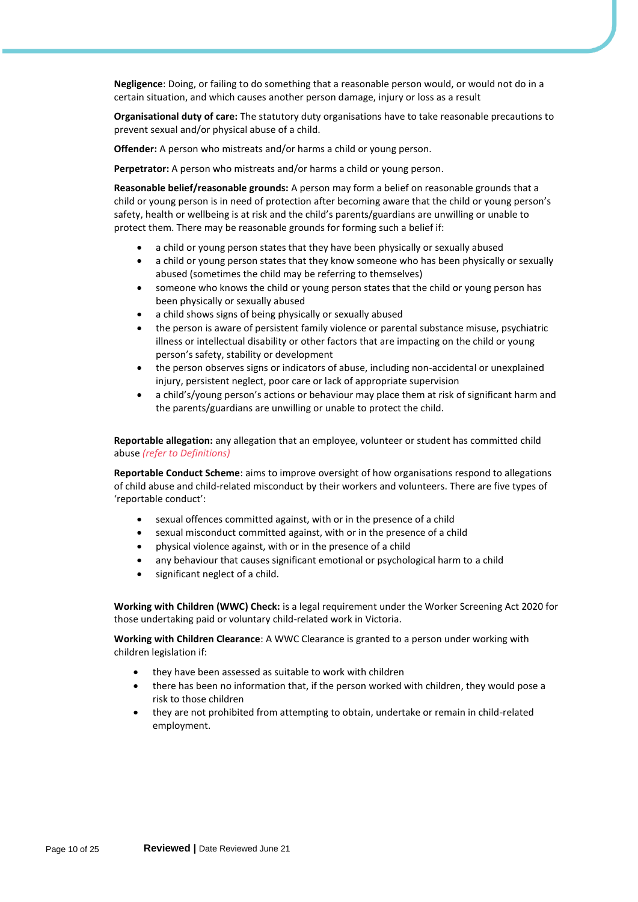**Negligence**: Doing, or failing to do something that a reasonable person would, or would not do in a certain situation, and which causes another person damage, injury or loss as a result

**Organisational duty of care:** The statutory duty organisations have to take reasonable precautions to prevent sexual and/or physical abuse of a child.

**Offender:** A person who mistreats and/or harms a child or young person.

**Perpetrator:** A person who mistreats and/or harms a child or young person.

**Reasonable belief/reasonable grounds:** A person may form a belief on reasonable grounds that a child or young person is in need of protection after becoming aware that the child or young person's safety, health or wellbeing is at risk and the child's parents/guardians are unwilling or unable to protect them. There may be reasonable grounds for forming such a belief if:

- a child or young person states that they have been physically or sexually abused
- a child or young person states that they know someone who has been physically or sexually abused (sometimes the child may be referring to themselves)
- someone who knows the child or young person states that the child or young person has been physically or sexually abused
- a child shows signs of being physically or sexually abused
- the person is aware of persistent family violence or parental substance misuse, psychiatric illness or intellectual disability or other factors that are impacting on the child or young person's safety, stability or development
- the person observes signs or indicators of abuse, including non-accidental or unexplained injury, persistent neglect, poor care or lack of appropriate supervision
- a child's/young person's actions or behaviour may place them at risk of significant harm and the parents/guardians are unwilling or unable to protect the child.

**Reportable allegation:** any allegation that an employee, volunteer or student has committed child abuse *(refer to Definitions)*

**Reportable Conduct Scheme**: aims to improve oversight of how organisations respond to allegations of child abuse and child-related misconduct by their workers and volunteers. There are five types of 'reportable conduct':

- sexual offences committed against, with or in the presence of a child
- sexual misconduct committed against, with or in the presence of a child
- physical violence against, with or in the presence of a child
- any behaviour that causes significant emotional or psychological harm to a child
- significant neglect of a child.

**Working with Children (WWC) Check:** is a legal requirement under the Worker Screening Act 2020 for those undertaking paid or voluntary child-related work in Victoria.

**Working with Children Clearance**: A WWC Clearance is granted to a person under working with children legislation if:

- they have been assessed as suitable to work with children
- there has been no information that, if the person worked with children, they would pose a risk to those children
- they are not prohibited from attempting to obtain, undertake or remain in child-related employment.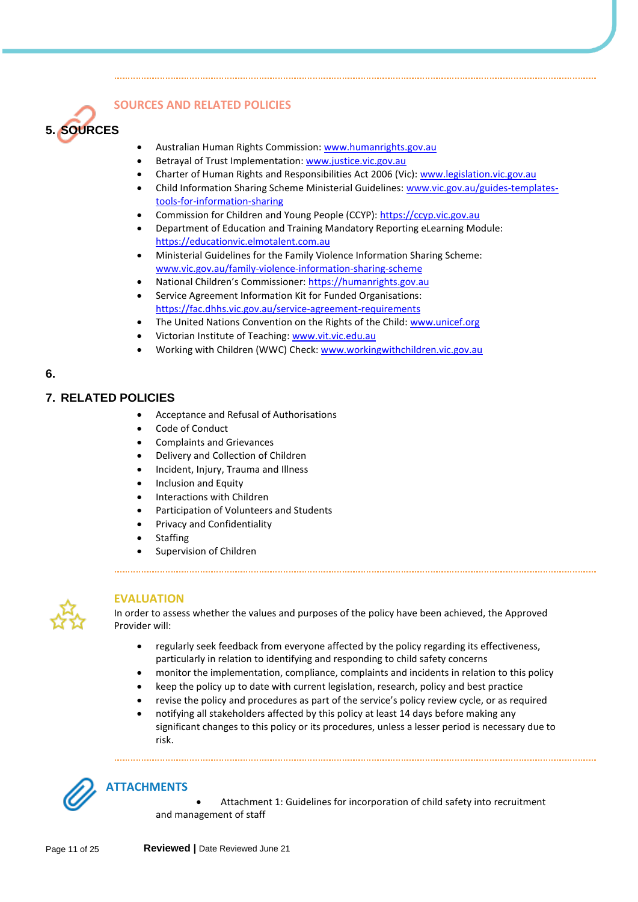

## **SOURCES AND RELATED POLICIES**

- Australian Human Rights Commission[: www.humanrights.gov.au](http://www.humanrights.gov.au/)
- Betrayal of Trust Implementation[: www.justice.vic.gov.au](http://www.justice.vic.gov.au/)
- Charter of Human Rights and Responsibilities Act 2006 (Vic): [www.legislation.vic.gov.au](http://www.legislation.vic.gov.au/)
- Child Information Sharing Scheme Ministerial Guidelines: [www.vic.gov.au/guides-templates](http://www.vic.gov.au/guides-templates-tools-for-information-sharing)[tools-for-information-sharing](http://www.vic.gov.au/guides-templates-tools-for-information-sharing)
- Commission for Children and Young People (CCYP): [https://ccyp.vic.gov.au](https://ccyp.vic.gov.au/)
- Department of Education and Training Mandatory Reporting eLearning Module: [https://educationvic.elmotalent.com.au](https://educationvic.elmotalent.com.au/)
- Ministerial Guidelines for the Family Violence Information Sharing Scheme: [www.vic.gov.au/family-violence-information-sharing-scheme](http://www.vic.gov.au/family-violence-information-sharing-scheme)
- National Children's Commissioner: [https://humanrights.gov.au](https://humanrights.gov.au/our-work/about-national-childrens-commissioner)
- Service Agreement Information Kit for Funded Organisations: <https://fac.dhhs.vic.gov.au/service-agreement-requirements>
- The United Nations Convention on the Rights of the Child: [www.unicef.org](http://www.unicef.org/)
- Victorian Institute of Teaching: [www.vit.vic.edu.au](http://www.vit.vic.edu.au/)
- Working with Children (WWC) Check[: www.workingwithchildren.vic.gov.au](http://www.workingwithchildren.vic.gov.au/)

## **6.**

## **7. RELATED POLICIES**

- Acceptance and Refusal of Authorisations
- Code of Conduct
- Complaints and Grievances
- Delivery and Collection of Children
- Incident, Injury, Trauma and Illness
- Inclusion and Equity
- Interactions with Children
- Participation of Volunteers and Students
- Privacy and Confidentiality
- **Staffing**
- Supervision of Children



#### **EVALUATION**

In order to assess whether the values and purposes of the policy have been achieved, the Approved Provider will:

- regularly seek feedback from everyone affected by the policy regarding its effectiveness, particularly in relation to identifying and responding to child safety concerns
- monitor the implementation, compliance, complaints and incidents in relation to this policy
- keep the policy up to date with current legislation, research, policy and best practice
- revise the policy and procedures as part of the service's policy review cycle, or as required
- notifying all stakeholders affected by this policy at least 14 days before making any significant changes to this policy or its procedures, unless a lesser period is necessary due to risk.



• Attachment 1: Guidelines for incorporation of child safety into recruitment and management of staff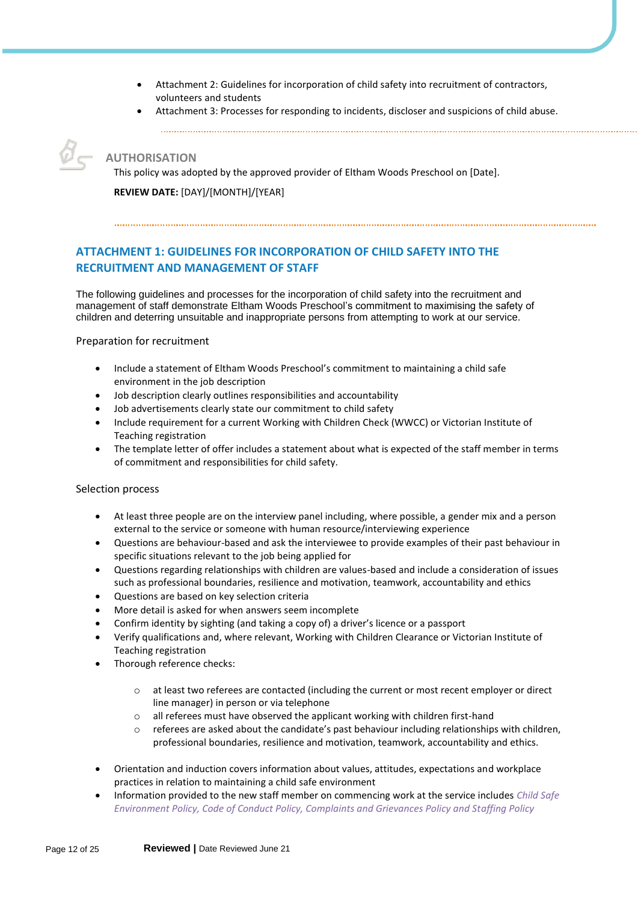- Attachment 2: Guidelines for incorporation of child safety into recruitment of contractors, volunteers and students
- Attachment 3: Processes for responding to incidents, discloser and suspicions of child abuse.

**AUTHORISATION**

This policy was adopted by the approved provider of Eltham Woods Preschool on [Date].

**REVIEW DATE:** [DAY]/[MONTH]/[YEAR]

## **ATTACHMENT 1: GUIDELINES FOR INCORPORATION OF CHILD SAFETY INTO THE RECRUITMENT AND MANAGEMENT OF STAFF**

The following guidelines and processes for the incorporation of child safety into the recruitment and management of staff demonstrate Eltham Woods Preschool's commitment to maximising the safety of children and deterring unsuitable and inappropriate persons from attempting to work at our service.

## Preparation for recruitment

- Include a statement of Eltham Woods Preschool's commitment to maintaining a child safe environment in the job description
- Job description clearly outlines responsibilities and accountability
- Job advertisements clearly state our commitment to child safety
- Include requirement for a current Working with Children Check (WWCC) or Victorian Institute of Teaching registration
- The template letter of offer includes a statement about what is expected of the staff member in terms of commitment and responsibilities for child safety.

## Selection process

- At least three people are on the interview panel including, where possible, a gender mix and a person external to the service or someone with human resource/interviewing experience
- Questions are behaviour-based and ask the interviewee to provide examples of their past behaviour in specific situations relevant to the job being applied for
- Questions regarding relationships with children are values-based and include a consideration of issues such as professional boundaries, resilience and motivation, teamwork, accountability and ethics
- Questions are based on key selection criteria
- More detail is asked for when answers seem incomplete
- Confirm identity by sighting (and taking a copy of) a driver's licence or a passport
- Verify qualifications and, where relevant, Working with Children Clearance or Victorian Institute of Teaching registration
- Thorough reference checks:
	- o at least two referees are contacted (including the current or most recent employer or direct line manager) in person or via telephone
	- o all referees must have observed the applicant working with children first-hand
	- $\circ$  referees are asked about the candidate's past behaviour including relationships with children, professional boundaries, resilience and motivation, teamwork, accountability and ethics.
- Orientation and induction covers information about values, attitudes, expectations and workplace practices in relation to maintaining a child safe environment
- Information provided to the new staff member on commencing work at the service includes *Child Safe Environment Policy, Code of Conduct Policy, Complaints and Grievances Policy and Staffing Policy*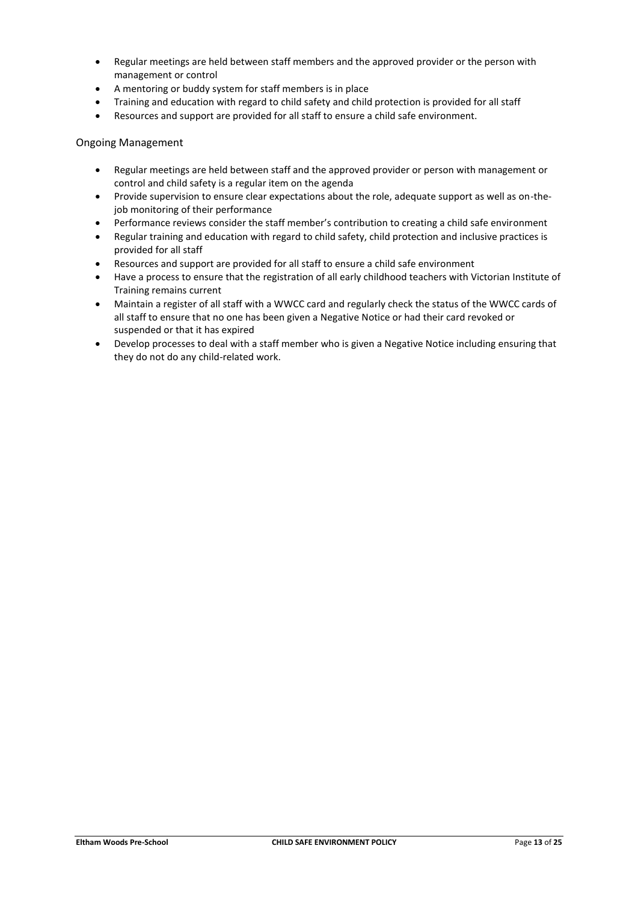- Regular meetings are held between staff members and the approved provider or the person with management or control
- A mentoring or buddy system for staff members is in place
- Training and education with regard to child safety and child protection is provided for all staff
- Resources and support are provided for all staff to ensure a child safe environment.

#### Ongoing Management

- Regular meetings are held between staff and the approved provider or person with management or control and child safety is a regular item on the agenda
- Provide supervision to ensure clear expectations about the role, adequate support as well as on-thejob monitoring of their performance
- Performance reviews consider the staff member's contribution to creating a child safe environment
- Regular training and education with regard to child safety, child protection and inclusive practices is provided for all staff
- Resources and support are provided for all staff to ensure a child safe environment
- Have a process to ensure that the registration of all early childhood teachers with Victorian Institute of Training remains current
- Maintain a register of all staff with a WWCC card and regularly check the status of the WWCC cards of all staff to ensure that no one has been given a Negative Notice or had their card revoked or suspended or that it has expired
- Develop processes to deal with a staff member who is given a Negative Notice including ensuring that they do not do any child-related work.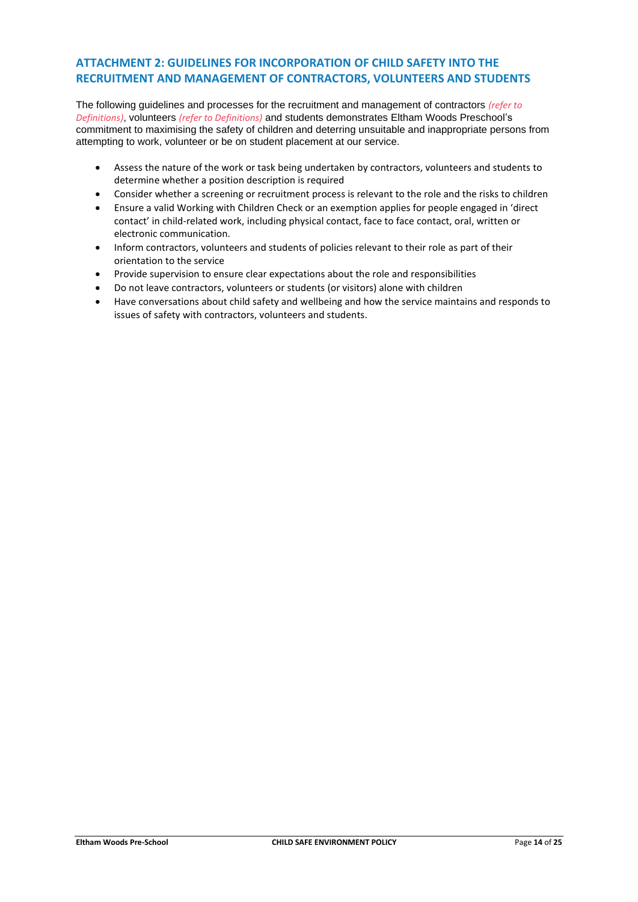## **ATTACHMENT 2: GUIDELINES FOR INCORPORATION OF CHILD SAFETY INTO THE RECRUITMENT AND MANAGEMENT OF CONTRACTORS, VOLUNTEERS AND STUDENTS**

The following guidelines and processes for the recruitment and management of contractors *(refer to Definitions)*, volunteers *(refer to Definitions)* and students demonstrates Eltham Woods Preschool's commitment to maximising the safety of children and deterring unsuitable and inappropriate persons from attempting to work, volunteer or be on student placement at our service.

- Assess the nature of the work or task being undertaken by contractors, volunteers and students to determine whether a position description is required
- Consider whether a screening or recruitment process is relevant to the role and the risks to children
- Ensure a valid Working with Children Check or an exemption applies for people engaged in 'direct contact' in child-related work, including physical contact, face to face contact, oral, written or electronic communication.
- Inform contractors, volunteers and students of policies relevant to their role as part of their orientation to the service
- Provide supervision to ensure clear expectations about the role and responsibilities
- Do not leave contractors, volunteers or students (or visitors) alone with children
- Have conversations about child safety and wellbeing and how the service maintains and responds to issues of safety with contractors, volunteers and students.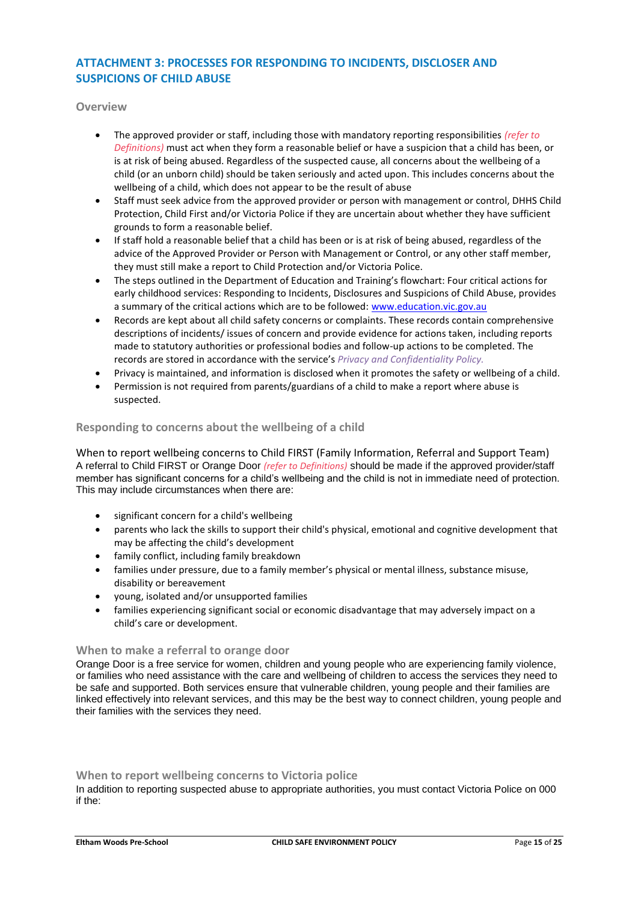## **ATTACHMENT 3: PROCESSES FOR RESPONDING TO INCIDENTS, DISCLOSER AND SUSPICIONS OF CHILD ABUSE**

**Overview**

- The approved provider or staff, including those with mandatory reporting responsibilities *(refer to Definitions)* must act when they form a reasonable belief or have a suspicion that a child has been, or is at risk of being abused. Regardless of the suspected cause, all concerns about the wellbeing of a child (or an unborn child) should be taken seriously and acted upon. This includes concerns about the wellbeing of a child, which does not appear to be the result of abuse
- Staff must seek advice from the approved provider or person with management or control, DHHS Child Protection, Child First and/or Victoria Police if they are uncertain about whether they have sufficient grounds to form a reasonable belief.
- If staff hold a reasonable belief that a child has been or is at risk of being abused, regardless of the advice of the Approved Provider or Person with Management or Control, or any other staff member, they must still make a report to Child Protection and/or Victoria Police.
- The steps outlined in the Department of Education and Training's flowchart: Four critical actions for early childhood services: Responding to Incidents, Disclosures and Suspicions of Child Abuse, provides a summary of the critical actions which are to be followed[: www.education.vic.gov.au](https://www.education.vic.gov.au/Pages/default.aspx)
- Records are kept about all child safety concerns or complaints. These records contain comprehensive descriptions of incidents/ issues of concern and provide evidence for actions taken, including reports made to statutory authorities or professional bodies and follow-up actions to be completed. The records are stored in accordance with the service's *Privacy and Confidentiality Policy.*
- Privacy is maintained, and information is disclosed when it promotes the safety or wellbeing of a child.
- Permission is not required from parents/guardians of a child to make a report where abuse is suspected.

#### **Responding to concerns about the wellbeing of a child**

When to report wellbeing concerns to Child FIRST (Family Information, Referral and Support Team) A referral to Child FIRST or Orange Door *(refer to Definitions)* should be made if the approved provider/staff member has significant concerns for a child's wellbeing and the child is not in immediate need of protection. This may include circumstances when there are:

- significant concern for a child's wellbeing
- parents who lack the skills to support their child's physical, emotional and cognitive development that may be affecting the child's development
- family conflict, including family breakdown
- families under pressure, due to a family member's physical or mental illness, substance misuse, disability or bereavement
- young, isolated and/or unsupported families
- families experiencing significant social or economic disadvantage that may adversely impact on a child's care or development.

#### **When to make a referral to orange door**

Orange Door is a free service for women, children and young people who are experiencing family violence, or families who need assistance with the care and wellbeing of children to access the services they need to be safe and supported. Both services ensure that vulnerable children, young people and their families are linked effectively into relevant services, and this may be the best way to connect children, young people and their families with the services they need.

#### **When to report wellbeing concerns to Victoria police**

In addition to reporting suspected abuse to appropriate authorities, you must contact Victoria Police on 000 if the: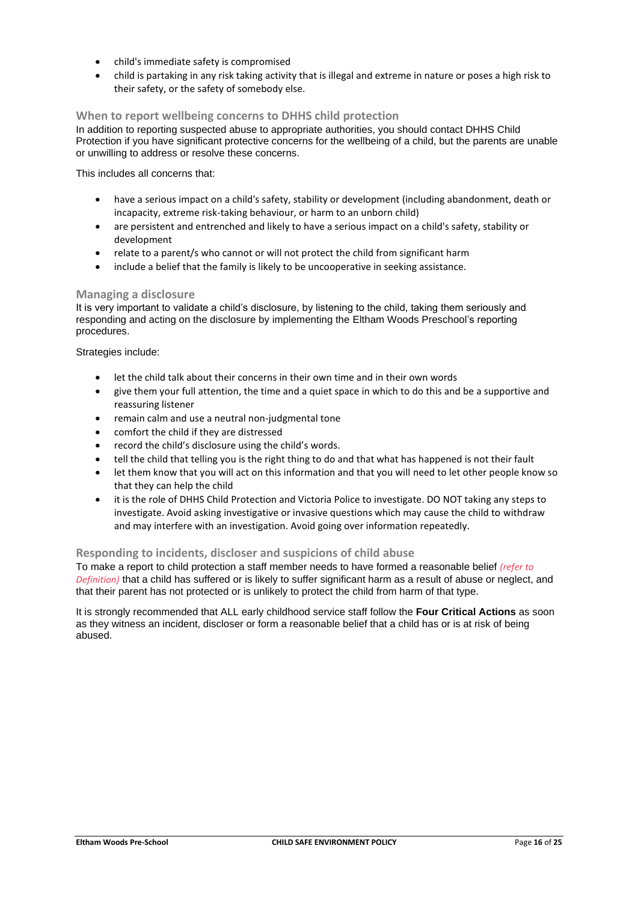- child's immediate safety is compromised
- child is partaking in any risk taking activity that is illegal and extreme in nature or poses a high risk to their safety, or the safety of somebody else.

#### **When to report wellbeing concerns to DHHS child protection**

In addition to reporting suspected abuse to appropriate authorities, you should contact DHHS Child Protection if you have significant protective concerns for the wellbeing of a child, but the parents are unable or unwilling to address or resolve these concerns.

This includes all concerns that:

- have a serious impact on a child's safety, stability or development (including abandonment, death or incapacity, extreme risk-taking behaviour, or harm to an unborn child)
- are persistent and entrenched and likely to have a serious impact on a child's safety, stability or development
- relate to a parent/s who cannot or will not protect the child from significant harm
- include a belief that the family is likely to be uncooperative in seeking assistance.

#### **Managing a disclosure**

It is very important to validate a child's disclosure, by listening to the child, taking them seriously and responding and acting on the disclosure by implementing the Eltham Woods Preschool's reporting procedures.

Strategies include:

- let the child talk about their concerns in their own time and in their own words
- give them your full attention, the time and a quiet space in which to do this and be a supportive and reassuring listener
- remain calm and use a neutral non-judgmental tone
- comfort the child if they are distressed
- record the child's disclosure using the child's words.
- tell the child that telling you is the right thing to do and that what has happened is not their fault
- let them know that you will act on this information and that you will need to let other people know so that they can help the child
- it is the role of DHHS Child Protection and Victoria Police to investigate. DO NOT taking any steps to investigate. Avoid asking investigative or invasive questions which may cause the child to withdraw and may interfere with an investigation. Avoid going over information repeatedly.

#### **Responding to incidents, discloser and suspicions of child abuse**

To make a report to child protection a staff member needs to have formed a reasonable belief *(refer to Definition)* that a child has suffered or is likely to suffer significant harm as a result of abuse or neglect, and that their parent has not protected or is unlikely to protect the child from harm of that type.

It is strongly recommended that ALL early childhood service staff follow the **Four Critical Actions** as soon as they witness an incident, discloser or form a reasonable belief that a child has or is at risk of being abused.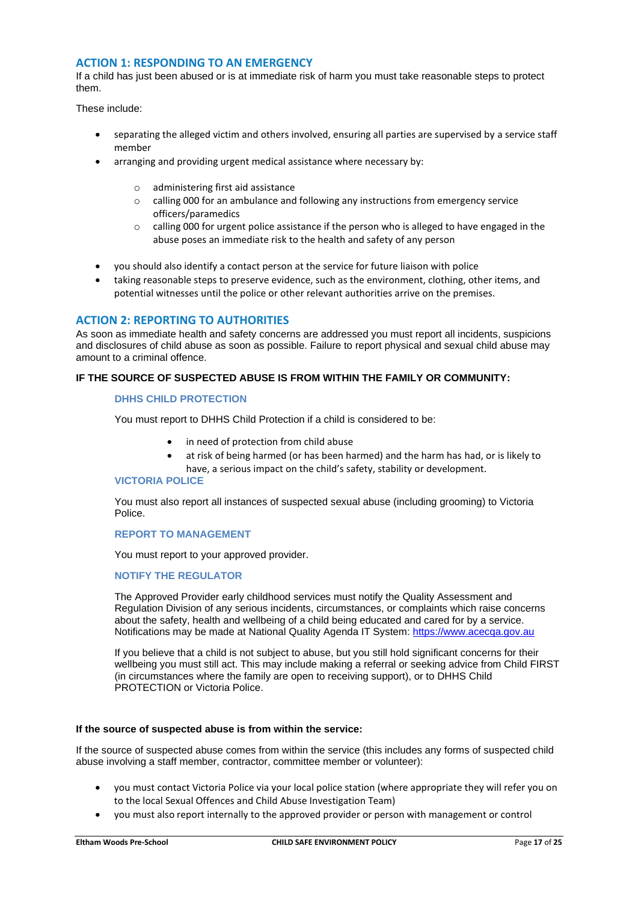#### **ACTION 1: RESPONDING TO AN EMERGENCY**

If a child has just been abused or is at immediate risk of harm you must take reasonable steps to protect them.

These include:

- separating the alleged victim and others involved, ensuring all parties are supervised by a service staff member
- arranging and providing urgent medical assistance where necessary by:
	- o administering first aid assistance
	- $\circ$  calling 000 for an ambulance and following any instructions from emergency service officers/paramedics
	- $\circ$  calling 000 for urgent police assistance if the person who is alleged to have engaged in the abuse poses an immediate risk to the health and safety of any person
- you should also identify a contact person at the service for future liaison with police
- taking reasonable steps to preserve evidence, such as the environment, clothing, other items, and potential witnesses until the police or other relevant authorities arrive on the premises.

## **ACTION 2: REPORTING TO AUTHORITIES**

As soon as immediate health and safety concerns are addressed you must report all incidents, suspicions and disclosures of child abuse as soon as possible. Failure to report physical and sexual child abuse may amount to a criminal offence.

#### **IF THE SOURCE OF SUSPECTED ABUSE IS FROM WITHIN THE FAMILY OR COMMUNITY:**

#### **DHHS CHILD PROTECTION**

You must report to DHHS Child Protection if a child is considered to be:

- in need of protection from child abuse
- at risk of being harmed (or has been harmed) and the harm has had, or is likely to have, a serious impact on the child's safety, stability or development.

#### **VICTORIA POLICE**

You must also report all instances of suspected sexual abuse (including grooming) to Victoria Police.

## **REPORT TO MANAGEMENT**

You must report to your approved provider.

#### **NOTIFY THE REGULATOR**

The Approved Provider early childhood services must notify the Quality Assessment and Regulation Division of any serious incidents, circumstances, or complaints which raise concerns about the safety, health and wellbeing of a child being educated and cared for by a service. Notifications may be made at National Quality Agenda IT System: [https://www.acecqa.gov.au](https://www.acecqa.gov.au/)

If you believe that a child is not subject to abuse, but you still hold significant concerns for their wellbeing you must still act. This may include making a referral or seeking advice from Child FIRST (in circumstances where the family are open to receiving support), or to DHHS Child PROTECTION or Victoria Police.

#### **If the source of suspected abuse is from within the service:**

If the source of suspected abuse comes from within the service (this includes any forms of suspected child abuse involving a staff member, contractor, committee member or volunteer):

- you must contact Victoria Police via your local police station (where appropriate they will refer you on to the local Sexual Offences and Child Abuse Investigation Team)
- you must also report internally to the approved provider or person with management or control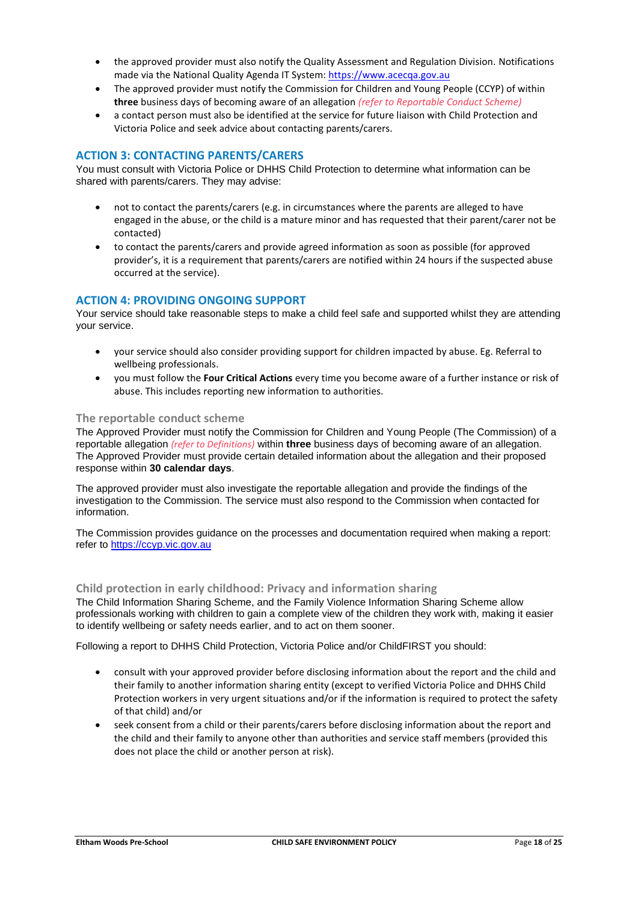- the approved provider must also notify the Quality Assessment and Regulation Division. Notifications made via the National Quality Agenda IT System: [https://www.acecqa.gov.au](https://www.acecqa.gov.au/)
- The approved provider must notify the Commission for Children and Young People (CCYP) of within **three** business days of becoming aware of an allegation *(refer to Reportable Conduct Scheme)*
- a contact person must also be identified at the service for future liaison with Child Protection and Victoria Police and seek advice about contacting parents/carers.

## **ACTION 3: CONTACTING PARENTS/CARERS**

You must consult with Victoria Police or DHHS Child Protection to determine what information can be shared with parents/carers. They may advise:

- not to contact the parents/carers (e.g. in circumstances where the parents are alleged to have engaged in the abuse, or the child is a mature minor and has requested that their parent/carer not be contacted)
- to contact the parents/carers and provide agreed information as soon as possible (for approved provider's, it is a requirement that parents/carers are notified within 24 hours if the suspected abuse occurred at the service).

## **ACTION 4: PROVIDING ONGOING SUPPORT**

Your service should take reasonable steps to make a child feel safe and supported whilst they are attending your service.

- your service should also consider providing support for children impacted by abuse. Eg. Referral to wellbeing professionals.
- you must follow the **Four Critical Actions** every time you become aware of a further instance or risk of abuse. This includes reporting new information to authorities.

#### **The reportable conduct scheme**

The Approved Provider must notify the Commission for Children and Young People (The Commission) of a reportable allegation *(refer to Definitions)* within **three** business days of becoming aware of an allegation. The Approved Provider must provide certain detailed information about the allegation and their proposed response within **30 calendar days**.

The approved provider must also investigate the reportable allegation and provide the findings of the investigation to the Commission. The service must also respond to the Commission when contacted for information.

The Commission provides guidance on the processes and documentation required when making a report: refer to [https://ccyp.vic.gov.au](https://ccyp.vic.gov.au/)

#### **Child protection in early childhood: Privacy and information sharing**

The Child Information Sharing Scheme, and the Family Violence Information Sharing Scheme allow professionals working with children to gain a complete view of the children they work with, making it easier to identify wellbeing or safety needs earlier, and to act on them sooner.

Following a report to DHHS Child Protection, Victoria Police and/or ChildFIRST you should:

- consult with your approved provider before disclosing information about the report and the child and their family to another information sharing entity (except to verified Victoria Police and DHHS Child Protection workers in very urgent situations and/or if the information is required to protect the safety of that child) and/or
- seek consent from a child or their parents/carers before disclosing information about the report and the child and their family to anyone other than authorities and service staff members (provided this does not place the child or another person at risk).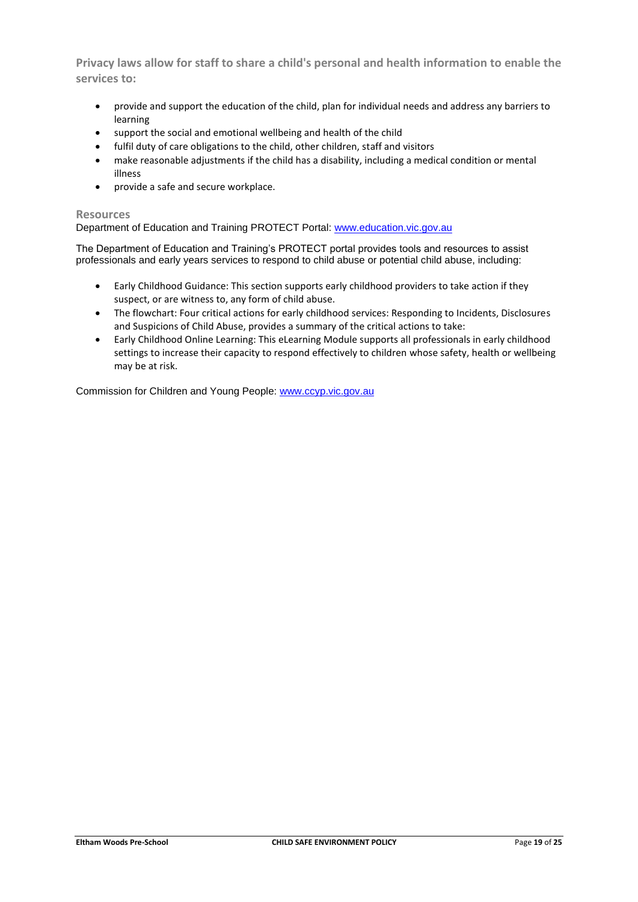**Privacy laws allow for staff to share a child's personal and health information to enable the services to:**

- provide and support the education of the child, plan for individual needs and address any barriers to learning
- support the social and emotional wellbeing and health of the child
- fulfil duty of care obligations to the child, other children, staff and visitors
- make reasonable adjustments if the child has a disability, including a medical condition or mental illness
- provide a safe and secure workplace.

#### **Resources**

Department of Education and Training PROTECT Portal: [www.education.vic.gov.au](https://www.education.vic.gov.au/Pages/default.aspx)

The Department of Education and Training's PROTECT portal provides tools and resources to assist professionals and early years services to respond to child abuse or potential child abuse, including:

- Early Childhood Guidance: This section supports early childhood providers to take action if they suspect, or are witness to, any form of child abuse.
- The flowchart: Four critical actions for early childhood services: Responding to Incidents, Disclosures and Suspicions of Child Abuse, provides a summary of the critical actions to take:
- Early Childhood Online Learning: This eLearning Module supports all professionals in early childhood settings to increase their capacity to respond effectively to children whose safety, health or wellbeing may be at risk.

Commission for Children and Young People: [www.ccyp.vic.gov.au](https://ccyp.vic.gov.au/)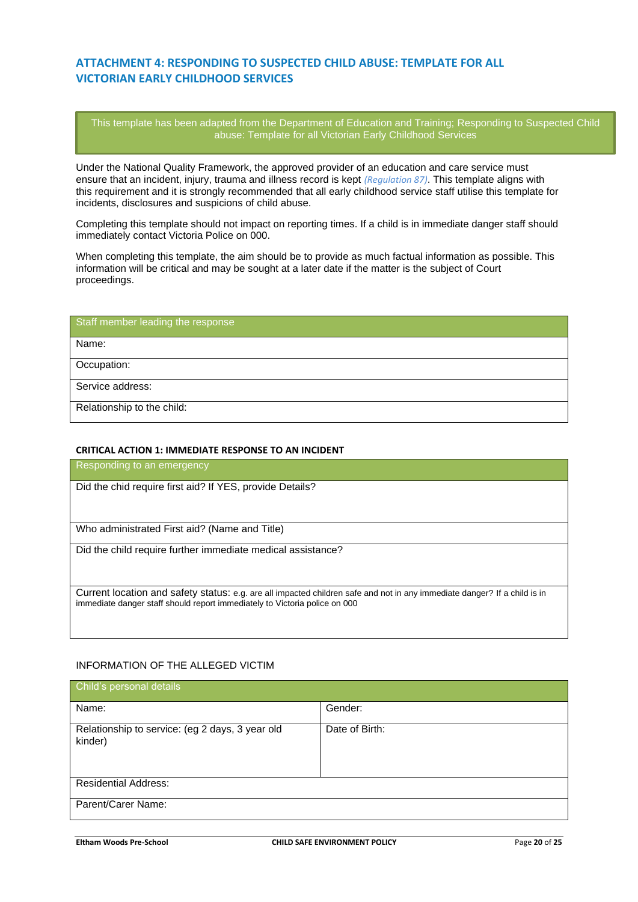## **ATTACHMENT 4: RESPONDING TO SUSPECTED CHILD ABUSE: TEMPLATE FOR ALL VICTORIAN EARLY CHILDHOOD SERVICES**

This template has been adapted from the Department of Education and Training; Responding to Suspected Child abuse: Template for all Victorian Early Childhood Services

Under the National Quality Framework, the approved provider of an education and care service must ensure that an incident, injury, trauma and illness record is kept *(Regulation 87)*. This template aligns with this requirement and it is strongly recommended that all early childhood service staff utilise this template for incidents, disclosures and suspicions of child abuse.

Completing this template should not impact on reporting times. If a child is in immediate danger staff should immediately contact Victoria Police on 000.

When completing this template, the aim should be to provide as much factual information as possible. This information will be critical and may be sought at a later date if the matter is the subject of Court proceedings.

# Staff member leading the response

Name:

Occupation:

Service address:

Relationship to the child:

#### **CRITICAL ACTION 1: IMMEDIATE RESPONSE TO AN INCIDENT**

Responding to an emergency

Did the chid require first aid? If YES, provide Details?

Who administrated First aid? (Name and Title)

Did the child require further immediate medical assistance?

Current location and safety status: e.g. are all impacted children safe and not in any immediate danger? If a child is in immediate danger staff should report immediately to Victoria police on 000

## INFORMATION OF THE ALLEGED VICTIM

| Child's personal details                                   |                |
|------------------------------------------------------------|----------------|
| Name:                                                      | Gender:        |
| Relationship to service: (eg 2 days, 3 year old<br>kinder) | Date of Birth: |
| <b>Residential Address:</b>                                |                |
| Parent/Carer Name:                                         |                |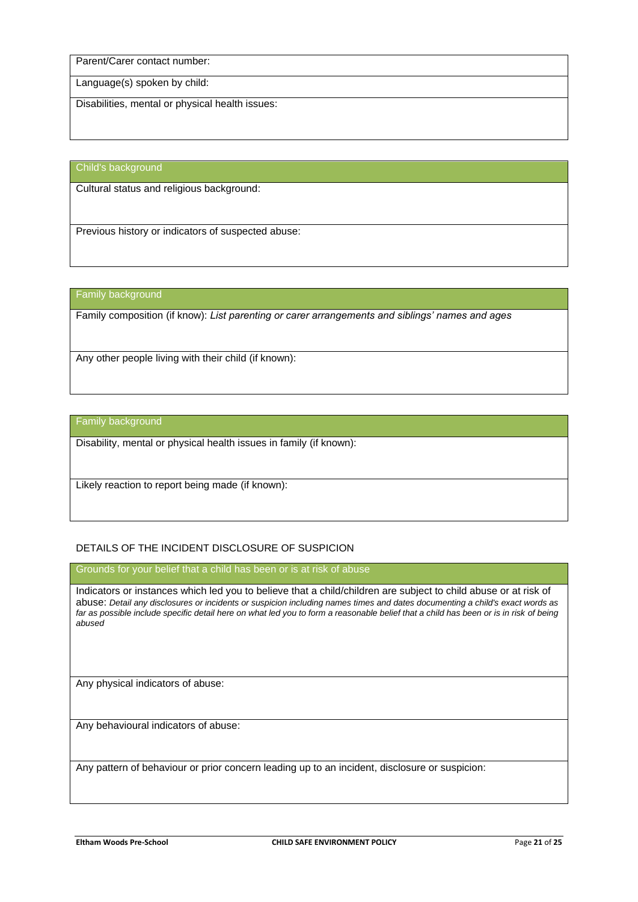Parent/Carer contact number:

Language(s) spoken by child:

Disabilities, mental or physical health issues:

Child's background

Cultural status and religious background:

Previous history or indicators of suspected abuse:

Family background

Family composition (if know): *List parenting or carer arrangements and siblings' names and ages*

Any other people living with their child (if known):

Family background

Disability, mental or physical health issues in family (if known):

Likely reaction to report being made (if known):

#### DETAILS OF THE INCIDENT DISCLOSURE OF SUSPICION

Grounds for your belief that a child has been or is at risk of abuse

Indicators or instances which led you to believe that a child/children are subject to child abuse or at risk of abuse: *Detail any disclosures or incidents or suspicion including names times and dates documenting a child's exact words as far as possible include specific detail here on what led you to form a reasonable belief that a child has been or is in risk of being abused*

Any physical indicators of abuse:

Any behavioural indicators of abuse:

Any pattern of behaviour or prior concern leading up to an incident, disclosure or suspicion: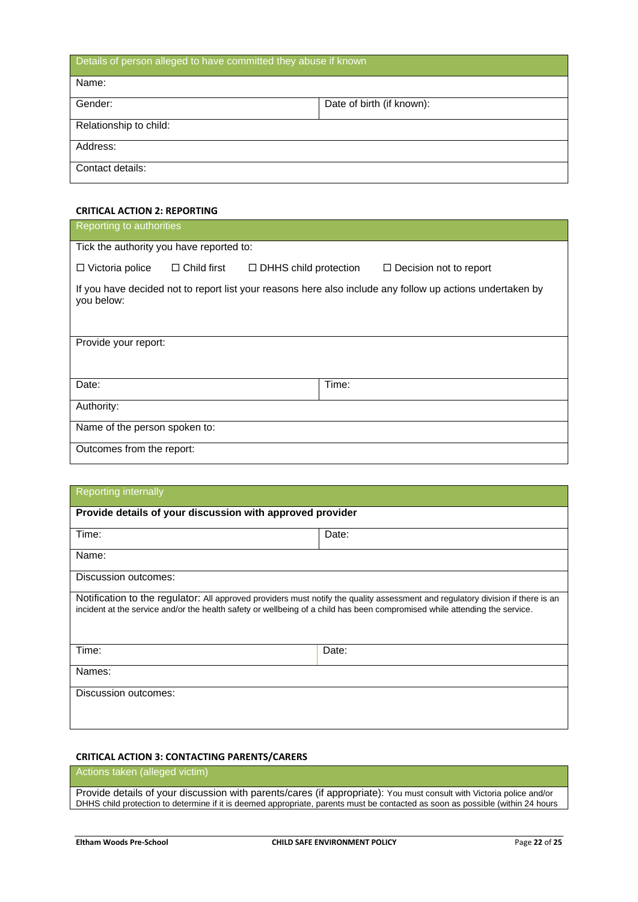Details of person alleged to have committed they abuse if known Name: Gender: Date of birth (if known): Relationship to child: Address: Contact details:

#### **CRITICAL ACTION 2: REPORTING**

| Reporting to authorities                                                                                                |                              |                               |  |  |
|-------------------------------------------------------------------------------------------------------------------------|------------------------------|-------------------------------|--|--|
| Tick the authority you have reported to:                                                                                |                              |                               |  |  |
| $\Box$ Child first<br>$\Box$ Victoria police                                                                            | $\Box$ DHHS child protection | $\Box$ Decision not to report |  |  |
| If you have decided not to report list your reasons here also include any follow up actions undertaken by<br>you below: |                              |                               |  |  |
| Provide your report:                                                                                                    |                              |                               |  |  |
| Date:                                                                                                                   | Time:                        |                               |  |  |
| Authority:                                                                                                              |                              |                               |  |  |
| Name of the person spoken to:                                                                                           |                              |                               |  |  |
| Outcomes from the report:                                                                                               |                              |                               |  |  |

## Reporting internally

| Provide details of your discussion with approved provider                                                                                                                                                                                                     |       |  |
|---------------------------------------------------------------------------------------------------------------------------------------------------------------------------------------------------------------------------------------------------------------|-------|--|
| Time:                                                                                                                                                                                                                                                         | Date: |  |
| Name:                                                                                                                                                                                                                                                         |       |  |
| Discussion outcomes:                                                                                                                                                                                                                                          |       |  |
| Notification to the regulator: All approved providers must notify the quality assessment and regulatory division if there is an<br>incident at the service and/or the health safety or wellbeing of a child has been compromised while attending the service. |       |  |
| Time:                                                                                                                                                                                                                                                         | Date: |  |
| Names:                                                                                                                                                                                                                                                        |       |  |
| Discussion outcomes:                                                                                                                                                                                                                                          |       |  |

## **CRITICAL ACTION 3: CONTACTING PARENTS/CARERS**

## Actions taken (alleged victim)

Provide details of your discussion with parents/cares (if appropriate): You must consult with Victoria police and/or DHHS child protection to determine if it is deemed appropriate, parents must be contacted as soon as possible (within 24 hours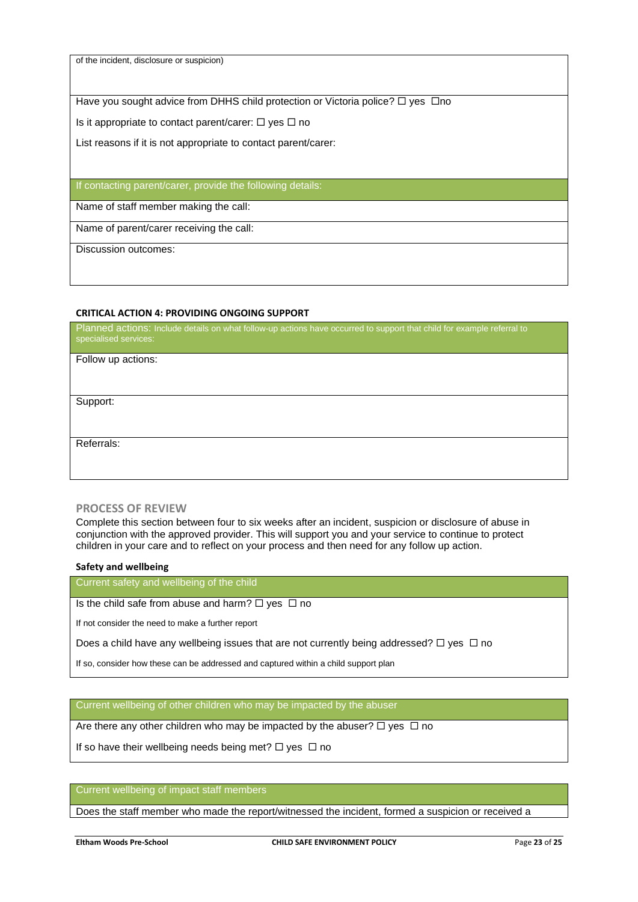of the incident, disclosure or suspicion)

Have you sought advice from DHHS child protection or Victoria police?  $\Box$  yes  $\Box$ no

Is it appropriate to contact parent/carer:  $\Box$  yes  $\Box$  no

List reasons if it is not appropriate to contact parent/carer:

#### If contacting parent/carer, provide the following details:

Name of staff member making the call:

Name of parent/carer receiving the call:

Discussion outcomes:

#### **CRITICAL ACTION 4: PROVIDING ONGOING SUPPORT**

Planned actions: Include details on what follow-up actions have occurred to support that child for example referral to specialised services:

Follow up actions:

Support:

Referrals:

#### **PROCESS OF REVIEW**

Complete this section between four to six weeks after an incident, suspicion or disclosure of abuse in conjunction with the approved provider. This will support you and your service to continue to protect children in your care and to reflect on your process and then need for any follow up action.

#### **Safety and wellbeing**

Current safety and wellbeing of the child

#### Is the child safe from abuse and harm?  $\Box$  yes  $\Box$  no

If not consider the need to make a further report

Does a child have any wellbeing issues that are not currently being addressed?  $\Box$  yes  $\Box$  no

If so, consider how these can be addressed and captured within a child support plan

Current wellbeing of other children who may be impacted by the abuser

Are there any other children who may be impacted by the abuser?  $\Box$  yes  $\Box$  no

If so have their wellbeing needs being met?  $\Box$  yes  $\Box$  no

#### Current wellbeing of impact staff members

Does the staff member who made the report/witnessed the incident, formed a suspicion or received a